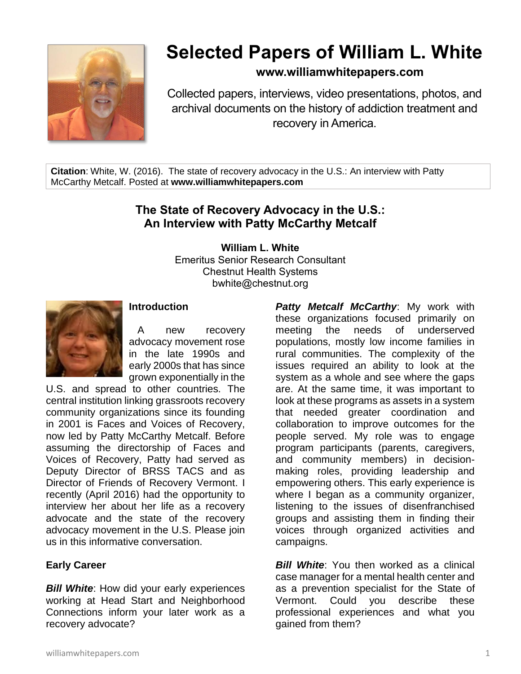

# **Selected Papers of William L. White**

# **www.williamwhitepapers.com**

Collected papers, interviews, video presentations, photos, and archival documents on the history of addiction treatment and recovery in America.

**Citation**: White, W. (2016). The state of recovery advocacy in the U.S.: An interview with Patty McCarthy Metcalf. Posted at **www.williamwhitepapers.com**

# **The State of Recovery Advocacy in the U.S.: An Interview with Patty McCarthy Metcalf**

**William L. White**

Emeritus Senior Research Consultant Chestnut Health Systems bwhite@chestnut.org



## **Introduction**

 A new recovery advocacy movement rose in the late 1990s and early 2000s that has since grown exponentially in the

U.S. and spread to other countries. The central institution linking grassroots recovery community organizations since its founding in 2001 is Faces and Voices of Recovery, now led by Patty McCarthy Metcalf. Before assuming the directorship of Faces and Voices of Recovery, Patty had served as Deputy Director of BRSS TACS and as Director of Friends of Recovery Vermont. I recently (April 2016) had the opportunity to interview her about her life as a recovery advocate and the state of the recovery advocacy movement in the U.S. Please join us in this informative conversation.

## **Early Career**

**Bill White:** How did your early experiences working at Head Start and Neighborhood Connections inform your later work as a recovery advocate?

*Patty Metcalf McCarthy*: My work with these organizations focused primarily on meeting the needs of underserved populations, mostly low income families in rural communities. The complexity of the issues required an ability to look at the system as a whole and see where the gaps are. At the same time, it was important to look at these programs as assets in a system that needed greater coordination and collaboration to improve outcomes for the people served. My role was to engage program participants (parents, caregivers, and community members) in decisionmaking roles, providing leadership and empowering others. This early experience is where I began as a community organizer, listening to the issues of disenfranchised groups and assisting them in finding their voices through organized activities and campaigns.

*Bill White*: You then worked as a clinical case manager for a mental health center and as a prevention specialist for the State of Vermont. Could you describe these professional experiences and what you gained from them?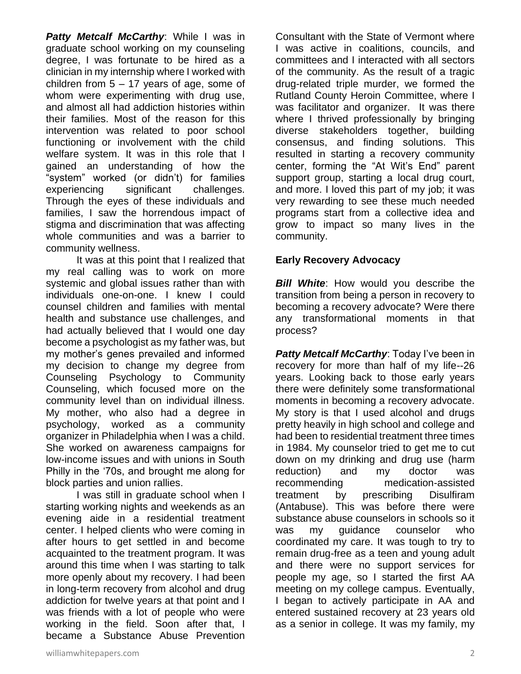*Patty Metcalf McCarthy*: While I was in graduate school working on my counseling degree, I was fortunate to be hired as a clinician in my internship where I worked with children from  $5 - 17$  years of age, some of whom were experimenting with drug use, and almost all had addiction histories within their families. Most of the reason for this intervention was related to poor school functioning or involvement with the child welfare system. It was in this role that I gained an understanding of how the "system" worked (or didn't) for families experiencing significant challenges. Through the eyes of these individuals and families, I saw the horrendous impact of stigma and discrimination that was affecting whole communities and was a barrier to community wellness.

It was at this point that I realized that my real calling was to work on more systemic and global issues rather than with individuals one-on-one. I knew I could counsel children and families with mental health and substance use challenges, and had actually believed that I would one day become a psychologist as my father was, but my mother's genes prevailed and informed my decision to change my degree from Counseling Psychology to Community Counseling, which focused more on the community level than on individual illness. My mother, who also had a degree in psychology, worked as a community organizer in Philadelphia when I was a child. She worked on awareness campaigns for low-income issues and with unions in South Philly in the '70s, and brought me along for block parties and union rallies.

I was still in graduate school when I starting working nights and weekends as an evening aide in a residential treatment center. I helped clients who were coming in after hours to get settled in and become acquainted to the treatment program. It was around this time when I was starting to talk more openly about my recovery. I had been in long-term recovery from alcohol and drug addiction for twelve years at that point and I was friends with a lot of people who were working in the field. Soon after that, I became a Substance Abuse Prevention Consultant with the State of Vermont where I was active in coalitions, councils, and committees and I interacted with all sectors of the community. As the result of a tragic drug-related triple murder, we formed the Rutland County Heroin Committee, where I was facilitator and organizer. It was there where I thrived professionally by bringing diverse stakeholders together, building consensus, and finding solutions. This resulted in starting a recovery community center, forming the "At Wit's End" parent support group, starting a local drug court. and more. I loved this part of my job; it was very rewarding to see these much needed programs start from a collective idea and grow to impact so many lives in the community.

## **Early Recovery Advocacy**

*Bill White*: How would you describe the transition from being a person in recovery to becoming a recovery advocate? Were there any transformational moments in that process?

*Patty Metcalf McCarthy*: Today I've been in recovery for more than half of my life--26 years. Looking back to those early years there were definitely some transformational moments in becoming a recovery advocate. My story is that I used alcohol and drugs pretty heavily in high school and college and had been to residential treatment three times in 1984. My counselor tried to get me to cut down on my drinking and drug use (harm reduction) and my doctor was recommending medication-assisted treatment by prescribing Disulfiram (Antabuse). This was before there were substance abuse counselors in schools so it was my guidance counselor who coordinated my care. It was tough to try to remain drug-free as a teen and young adult and there were no support services for people my age, so I started the first AA meeting on my college campus. Eventually, I began to actively participate in AA and entered sustained recovery at 23 years old as a senior in college. It was my family, my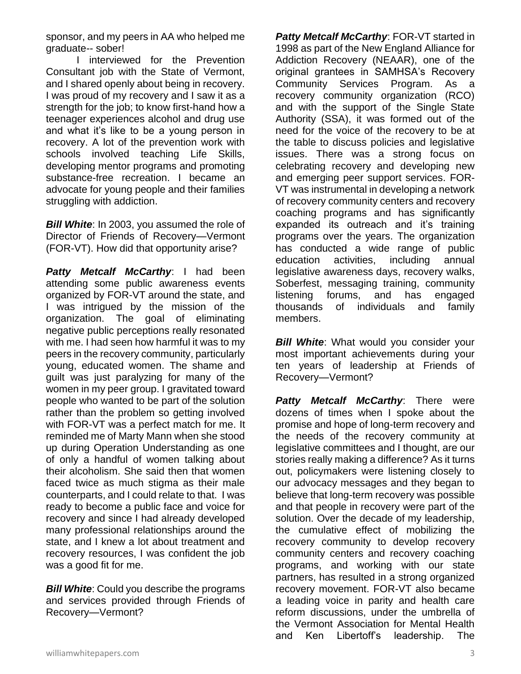sponsor, and my peers in AA who helped me graduate-- sober!

I interviewed for the Prevention Consultant job with the State of Vermont, and I shared openly about being in recovery. I was proud of my recovery and I saw it as a strength for the job; to know first-hand how a teenager experiences alcohol and drug use and what it's like to be a young person in recovery. A lot of the prevention work with schools involved teaching Life Skills, developing mentor programs and promoting substance-free recreation. I became an advocate for young people and their families struggling with addiction.

**Bill White:** In 2003, you assumed the role of Director of Friends of Recovery—Vermont (FOR-VT). How did that opportunity arise?

*Patty Metcalf McCarthy*: I had been attending some public awareness events organized by FOR-VT around the state, and I was intrigued by the mission of the organization. The goal of eliminating negative public perceptions really resonated with me. I had seen how harmful it was to my peers in the recovery community, particularly young, educated women. The shame and guilt was just paralyzing for many of the women in my peer group. I gravitated toward people who wanted to be part of the solution rather than the problem so getting involved with FOR-VT was a perfect match for me. It reminded me of Marty Mann when she stood up during Operation Understanding as one of only a handful of women talking about their alcoholism. She said then that women faced twice as much stigma as their male counterparts, and I could relate to that. I was ready to become a public face and voice for recovery and since I had already developed many professional relationships around the state, and I knew a lot about treatment and recovery resources, I was confident the job was a good fit for me.

*Bill White:* Could you describe the programs and services provided through Friends of Recovery—Vermont?

*Patty Metcalf McCarthy*: FOR-VT started in 1998 as part of the New England Alliance for Addiction Recovery (NEAAR), one of the original grantees in SAMHSA's Recovery Community Services Program. As a recovery community organization (RCO) and with the support of the Single State Authority (SSA), it was formed out of the need for the voice of the recovery to be at the table to discuss policies and legislative issues. There was a strong focus on celebrating recovery and developing new and emerging peer support services. FOR-VT was instrumental in developing a network of recovery community centers and recovery coaching programs and has significantly expanded its outreach and it's training programs over the years. The organization has conducted a wide range of public education activities, including annual legislative awareness days, recovery walks, Soberfest, messaging training, community listening forums, and has engaged thousands of individuals and family members.

*Bill White:* What would you consider your most important achievements during your ten years of leadership at Friends of Recovery—Vermont?

*Patty Metcalf McCarthy*: There were dozens of times when I spoke about the promise and hope of long-term recovery and the needs of the recovery community at legislative committees and I thought, are our stories really making a difference? As it turns out, policymakers were listening closely to our advocacy messages and they began to believe that long-term recovery was possible and that people in recovery were part of the solution. Over the decade of my leadership, the cumulative effect of mobilizing the recovery community to develop recovery community centers and recovery coaching programs, and working with our state partners, has resulted in a strong organized recovery movement. FOR-VT also became a leading voice in parity and health care reform discussions, under the umbrella of the Vermont Association for Mental Health and Ken Libertoff's leadership. The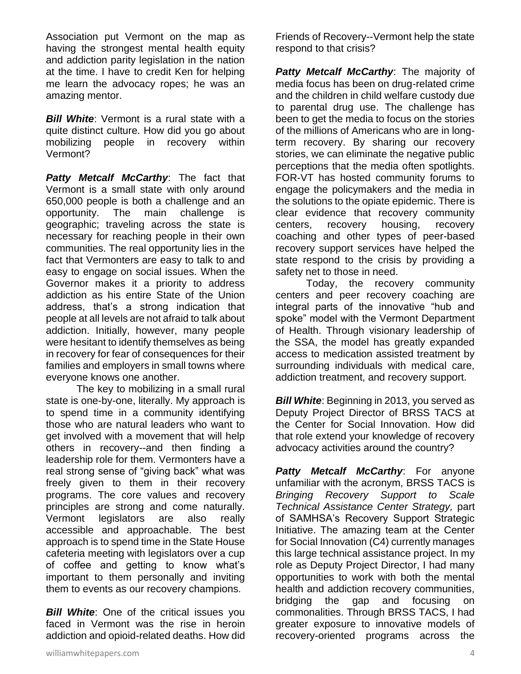Association put Vermont on the map as having the strongest mental health equity and addiction parity legislation in the nation at the time. I have to credit Ken for helping me learn the advocacy ropes; he was an amazing mentor.

*Bill White*: Vermont is a rural state with a quite distinct culture. How did you go about mobilizing people in recovery within Vermont?

*Patty Metcalf McCarthy*: The fact that Vermont is a small state with only around 650,000 people is both a challenge and an opportunity. The main challenge is geographic; traveling across the state is necessary for reaching people in their own communities. The real opportunity lies in the fact that Vermonters are easy to talk to and easy to engage on social issues. When the Governor makes it a priority to address addiction as his entire State of the Union address, that's a strong indication that people at all levels are not afraid to talk about addiction. Initially, however, many people were hesitant to identify themselves as being in recovery for fear of consequences for their families and employers in small towns where everyone knows one another.

The key to mobilizing in a small rural state is one-by-one, literally. My approach is to spend time in a community identifying those who are natural leaders who want to get involved with a movement that will help others in recovery--and then finding a leadership role for them. Vermonters have a real strong sense of "giving back" what was freely given to them in their recovery programs. The core values and recovery principles are strong and come naturally. Vermont legislators are also really accessible and approachable. The best approach is to spend time in the State House cafeteria meeting with legislators over a cup of coffee and getting to know what's important to them personally and inviting them to events as our recovery champions.

*Bill White*: One of the critical issues you faced in Vermont was the rise in heroin addiction and opioid-related deaths. How did Friends of Recovery--Vermont help the state respond to that crisis?

*Patty Metcalf McCarthy*: The majority of media focus has been on drug-related crime and the children in child welfare custody due to parental drug use. The challenge has been to get the media to focus on the stories of the millions of Americans who are in longterm recovery. By sharing our recovery stories, we can eliminate the negative public perceptions that the media often spotlights. FOR-VT has hosted community forums to engage the policymakers and the media in the solutions to the opiate epidemic. There is clear evidence that recovery community centers, recovery housing, recovery coaching and other types of peer-based recovery support services have helped the state respond to the crisis by providing a safety net to those in need.

Today, the recovery community centers and peer recovery coaching are integral parts of the innovative "hub and spoke" model with the Vermont Department of Health. Through visionary leadership of the SSA, the model has greatly expanded access to medication assisted treatment by surrounding individuals with medical care, addiction treatment, and recovery support.

*Bill White*: Beginning in 2013, you served as Deputy Project Director of BRSS TACS at the Center for Social Innovation. How did that role extend your knowledge of recovery advocacy activities around the country?

**Patty Metcalf McCarthy:** For anyone unfamiliar with the acronym, BRSS TACS is *Bringing Recovery Support to Scale Technical Assistance Center Strategy,* part of SAMHSA's Recovery Support Strategic Initiative. The amazing team at the Center for Social Innovation (C4) currently manages this large technical assistance project. In my role as Deputy Project Director, I had many opportunities to work with both the mental health and addiction recovery communities, bridging the gap and focusing on commonalities. Through BRSS TACS, I had greater exposure to innovative models of recovery-oriented programs across the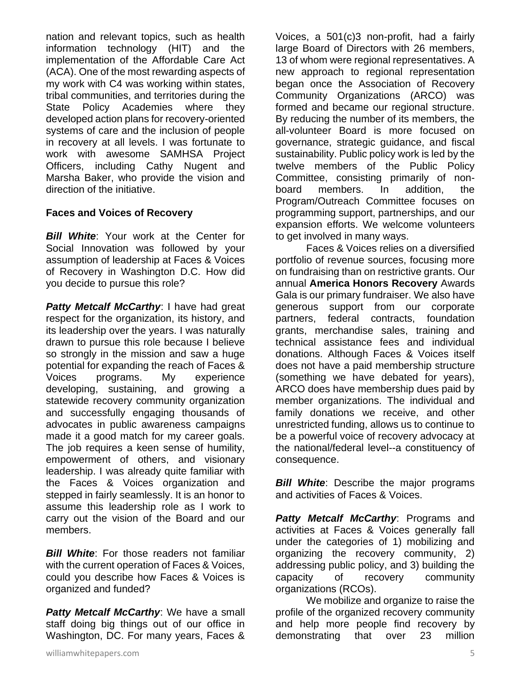nation and relevant topics, such as health information technology (HIT) and the implementation of the Affordable Care Act (ACA). One of the most rewarding aspects of my work with C4 was working within states, tribal communities, and territories during the State Policy Academies where they developed action plans for recovery-oriented systems of care and the inclusion of people in recovery at all levels. I was fortunate to work with awesome SAMHSA Project Officers, including Cathy Nugent and Marsha Baker, who provide the vision and direction of the initiative.

## **Faces and Voices of Recovery**

*Bill White*: Your work at the Center for Social Innovation was followed by your assumption of leadership at Faces & Voices of Recovery in Washington D.C. How did you decide to pursue this role?

**Patty Metcalf McCarthy: I have had great** respect for the organization, its history, and its leadership over the years. I was naturally drawn to pursue this role because I believe so strongly in the mission and saw a huge potential for expanding the reach of Faces & Voices programs. My experience developing, sustaining, and growing a statewide recovery community organization and successfully engaging thousands of advocates in public awareness campaigns made it a good match for my career goals. The job requires a keen sense of humility, empowerment of others, and visionary leadership. I was already quite familiar with the Faces & Voices organization and stepped in fairly seamlessly. It is an honor to assume this leadership role as I work to carry out the vision of the Board and our members.

*Bill White*: For those readers not familiar with the current operation of Faces & Voices, could you describe how Faces & Voices is organized and funded?

*Patty Metcalf McCarthy*: We have a small staff doing big things out of our office in Washington, DC. For many years, Faces &

Voices, a 501(c)3 non-profit, had a fairly large Board of Directors with 26 members, 13 of whom were regional representatives. A new approach to regional representation began once the Association of Recovery Community Organizations (ARCO) was formed and became our regional structure. By reducing the number of its members, the all-volunteer Board is more focused on governance, strategic guidance, and fiscal sustainability. Public policy work is led by the twelve members of the Public Policy Committee, consisting primarily of nonboard members. In addition, the Program/Outreach Committee focuses on programming support, partnerships, and our expansion efforts. We welcome volunteers to get involved in many ways.

Faces & Voices relies on a diversified portfolio of revenue sources, focusing more on fundraising than on restrictive grants. Our annual **America Honors Recovery** Awards Gala is our primary fundraiser. We also have generous support from our corporate partners, federal contracts, foundation grants, merchandise sales, training and technical assistance fees and individual donations. Although Faces & Voices itself does not have a paid membership structure (something we have debated for years), ARCO does have membership dues paid by member organizations. The individual and family donations we receive, and other unrestricted funding, allows us to continue to be a powerful voice of recovery advocacy at the national/federal level--a constituency of consequence.

*Bill White*: Describe the major programs and activities of Faces & Voices.

*Patty Metcalf McCarthy*: Programs and activities at Faces & Voices generally fall under the categories of 1) mobilizing and organizing the recovery community, 2) addressing public policy, and 3) building the capacity of recovery community organizations (RCOs).

We mobilize and organize to raise the profile of the organized recovery community and help more people find recovery by demonstrating that over 23 million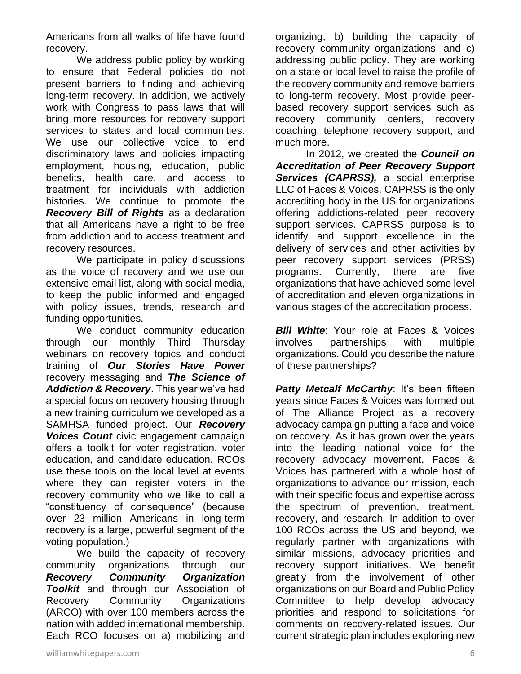Americans from all walks of life have found recovery.

We address public policy by working to ensure that Federal policies do not present barriers to finding and achieving long-term recovery. In addition, we actively work with Congress to pass laws that will bring more resources for recovery support services to states and local communities. We use our collective voice to end discriminatory laws and policies impacting employment, housing, education, public benefits, health care, and access to treatment for individuals with addiction histories. We continue to promote the *Recovery Bill of Rights* as a declaration that all Americans have a right to be free from addiction and to access treatment and recovery resources.

We participate in policy discussions as the voice of recovery and we use our extensive email list, along with social media, to keep the public informed and engaged with policy issues, trends, research and funding opportunities.

We conduct community education through our monthly Third Thursday webinars on recovery topics and conduct training of *Our Stories Have Power* recovery messaging and *The Science of Addiction & Recovery*. This year we've had a special focus on recovery housing through a new training curriculum we developed as a SAMHSA funded project. Our *Recovery Voices Count* civic engagement campaign offers a toolkit for voter registration, voter education, and candidate education. RCOs use these tools on the local level at events where they can register voters in the recovery community who we like to call a "constituency of consequence" (because over 23 million Americans in long-term recovery is a large, powerful segment of the voting population.)

We build the capacity of recovery community organizations through our *Recovery Community Organization Toolkit* and through our Association of Recovery Community Organizations (ARCO) with over 100 members across the nation with added international membership. Each RCO focuses on a) mobilizing and organizing, b) building the capacity of recovery community organizations, and c) addressing public policy. They are working on a state or local level to raise the profile of the recovery community and remove barriers to long-term recovery. Most provide peerbased recovery support services such as recovery community centers, recovery coaching, telephone recovery support, and much more.

In 2012, we created the *Council on Accreditation of Peer Recovery Support Services (CAPRSS),* a social enterprise LLC of Faces & Voices. CAPRSS is the only accrediting body in the US for organizations offering addictions-related peer recovery support services. CAPRSS purpose is to identify and support excellence in the delivery of services and other activities by peer recovery support services (PRSS) programs. Currently, there are five organizations that have achieved some level of accreditation and eleven organizations in various stages of the accreditation process.

*Bill White*: Your role at Faces & Voices involves partnerships with multiple organizations. Could you describe the nature of these partnerships?

*Patty Metcalf McCarthy: It's been fifteen* years since Faces & Voices was formed out of The Alliance Project as a recovery advocacy campaign putting a face and voice on recovery. As it has grown over the years into the leading national voice for the recovery advocacy movement, Faces & Voices has partnered with a whole host of organizations to advance our mission, each with their specific focus and expertise across the spectrum of prevention, treatment, recovery, and research. In addition to over 100 RCOs across the US and beyond, we regularly partner with organizations with similar missions, advocacy priorities and recovery support initiatives. We benefit greatly from the involvement of other organizations on our Board and Public Policy Committee to help develop advocacy priorities and respond to solicitations for comments on recovery-related issues. Our current strategic plan includes exploring new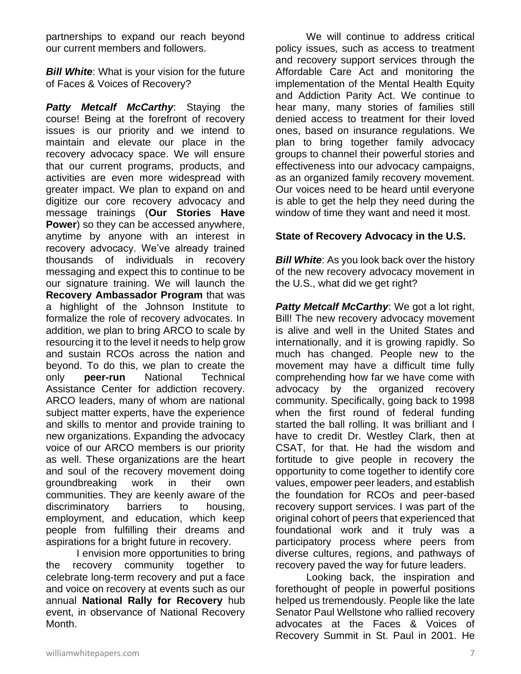partnerships to expand our reach beyond our current members and followers.

**Bill White:** What is your vision for the future of Faces & Voices of Recovery?

*Patty Metcalf McCarthy*: Staying the course! Being at the forefront of recovery issues is our priority and we intend to maintain and elevate our place in the recovery advocacy space. We will ensure that our current programs, products, and activities are even more widespread with greater impact. We plan to expand on and digitize our core recovery advocacy and message trainings (**Our Stories Have Power**) so they can be accessed anywhere, anytime by anyone with an interest in recovery advocacy. We've already trained thousands of individuals in recovery messaging and expect this to continue to be our signature training. We will launch the **Recovery Ambassador Program** that was a highlight of the Johnson Institute to formalize the role of recovery advocates. In addition, we plan to bring ARCO to scale by resourcing it to the level it needs to help grow and sustain RCOs across the nation and beyond. To do this, we plan to create the only **peer-run** National Technical Assistance Center for addiction recovery. ARCO leaders, many of whom are national subject matter experts, have the experience and skills to mentor and provide training to new organizations. Expanding the advocacy voice of our ARCO members is our priority as well. These organizations are the heart and soul of the recovery movement doing groundbreaking work in their own communities. They are keenly aware of the discriminatory barriers to housing, employment, and education, which keep people from fulfilling their dreams and aspirations for a bright future in recovery.

I envision more opportunities to bring the recovery community together to celebrate long-term recovery and put a face and voice on recovery at events such as our annual **National Rally for Recovery** hub event, in observance of National Recovery Month.

We will continue to address critical policy issues, such as access to treatment and recovery support services through the Affordable Care Act and monitoring the implementation of the Mental Health Equity and Addiction Parity Act. We continue to hear many, many stories of families still denied access to treatment for their loved ones, based on insurance regulations. We plan to bring together family advocacy groups to channel their powerful stories and effectiveness into our advocacy campaigns, as an organized family recovery movement. Our voices need to be heard until everyone is able to get the help they need during the window of time they want and need it most.

## **State of Recovery Advocacy in the U.S.**

*Bill White:* As you look back over the history of the new recovery advocacy movement in the U.S., what did we get right?

*Patty Metcalf McCarthy*: We got a lot right, Bill! The new recovery advocacy movement is alive and well in the United States and internationally, and it is growing rapidly. So much has changed. People new to the movement may have a difficult time fully comprehending how far we have come with advocacy by the organized recovery community. Specifically, going back to 1998 when the first round of federal funding started the ball rolling. It was brilliant and I have to credit Dr. Westley Clark, then at CSAT, for that. He had the wisdom and fortitude to give people in recovery the opportunity to come together to identify core values, empower peer leaders, and establish the foundation for RCOs and peer-based recovery support services. I was part of the original cohort of peers that experienced that foundational work and it truly was a participatory process where peers from diverse cultures, regions, and pathways of recovery paved the way for future leaders.

Looking back, the inspiration and forethought of people in powerful positions helped us tremendously. People like the late Senator Paul Wellstone who rallied recovery advocates at the Faces & Voices of Recovery Summit in St. Paul in 2001. He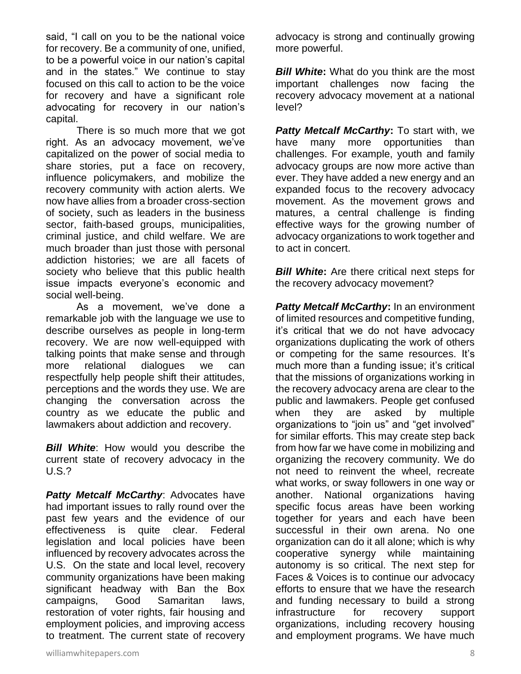said, "I call on you to be the national voice for recovery. Be a community of one, unified, to be a powerful voice in our nation's capital and in the states." We continue to stay focused on this call to action to be the voice for recovery and have a significant role advocating for recovery in our nation's capital.

There is so much more that we got right. As an advocacy movement, we've capitalized on the power of social media to share stories, put a face on recovery, influence policymakers, and mobilize the recovery community with action alerts. We now have allies from a broader cross-section of society, such as leaders in the business sector, faith-based groups, municipalities, criminal justice, and child welfare. We are much broader than just those with personal addiction histories; we are all facets of society who believe that this public health issue impacts everyone's economic and social well-being.

As a movement, we've done a remarkable job with the language we use to describe ourselves as people in long-term recovery. We are now well-equipped with talking points that make sense and through more relational dialogues we can respectfully help people shift their attitudes, perceptions and the words they use. We are changing the conversation across the country as we educate the public and lawmakers about addiction and recovery.

**Bill White:** How would you describe the current state of recovery advocacy in the U.S.?

*Patty Metcalf McCarthy*: Advocates have had important issues to rally round over the past few years and the evidence of our effectiveness is quite clear. Federal legislation and local policies have been influenced by recovery advocates across the U.S. On the state and local level, recovery community organizations have been making significant headway with Ban the Box campaigns, Good Samaritan laws, restoration of voter rights, fair housing and employment policies, and improving access to treatment. The current state of recovery advocacy is strong and continually growing more powerful.

**Bill White:** What do you think are the most important challenges now facing the recovery advocacy movement at a national level?

*Patty Metcalf McCarthy***:** To start with, we have many more opportunities than challenges. For example, youth and family advocacy groups are now more active than ever. They have added a new energy and an expanded focus to the recovery advocacy movement. As the movement grows and matures, a central challenge is finding effective ways for the growing number of advocacy organizations to work together and to act in concert.

**Bill White:** Are there critical next steps for the recovery advocacy movement?

*Patty Metcalf McCarthy***:** In an environment of limited resources and competitive funding, it's critical that we do not have advocacy organizations duplicating the work of others or competing for the same resources. It's much more than a funding issue; it's critical that the missions of organizations working in the recovery advocacy arena are clear to the public and lawmakers. People get confused when they are asked by multiple organizations to "join us" and "get involved" for similar efforts. This may create step back from how far we have come in mobilizing and organizing the recovery community. We do not need to reinvent the wheel, recreate what works, or sway followers in one way or another. National organizations having specific focus areas have been working together for years and each have been successful in their own arena. No one organization can do it all alone; which is why cooperative synergy while maintaining autonomy is so critical. The next step for Faces & Voices is to continue our advocacy efforts to ensure that we have the research and funding necessary to build a strong infrastructure for recovery support organizations, including recovery housing and employment programs. We have much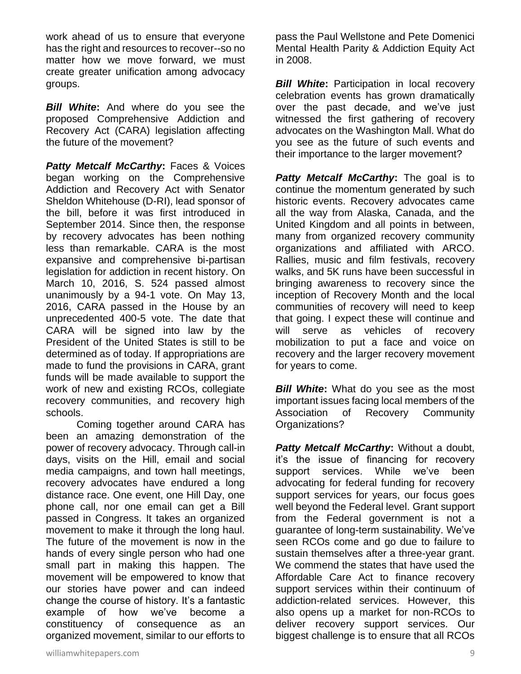work ahead of us to ensure that everyone has the right and resources to recover--so no matter how we move forward, we must create greater unification among advocacy groups.

*Bill White***:** And where do you see the proposed Comprehensive Addiction and Recovery Act (CARA) legislation affecting the future of the movement?

*Patty Metcalf McCarthy***:** Faces & Voices began working on the Comprehensive Addiction and Recovery Act with Senator Sheldon Whitehouse (D-RI), lead sponsor of the bill, before it was first introduced in September 2014. Since then, the response by recovery advocates has been nothing less than remarkable. CARA is the most expansive and comprehensive bi-partisan legislation for addiction in recent history. On March 10, 2016, S. 524 passed almost unanimously by a 94-1 vote. On May 13, 2016, CARA passed in the House by an unprecedented 400-5 vote. The date that CARA will be signed into law by the President of the United States is still to be determined as of today. If appropriations are made to fund the provisions in CARA, grant funds will be made available to support the work of new and existing RCOs, collegiate recovery communities, and recovery high schools.

Coming together around CARA has been an amazing demonstration of the power of recovery advocacy. Through call-in days, visits on the Hill, email and social media campaigns, and town hall meetings, recovery advocates have endured a long distance race. One event, one Hill Day, one phone call, nor one email can get a Bill passed in Congress. It takes an organized movement to make it through the long haul. The future of the movement is now in the hands of every single person who had one small part in making this happen. The movement will be empowered to know that our stories have power and can indeed change the course of history. It's a fantastic example of how we've become a constituency of consequence as an organized movement, similar to our efforts to

**Bill White:** Participation in local recovery celebration events has grown dramatically over the past decade, and we've just witnessed the first gathering of recovery advocates on the Washington Mall. What do you see as the future of such events and their importance to the larger movement?

*Patty Metcalf McCarthy***:** The goal is to continue the momentum generated by such historic events. Recovery advocates came all the way from Alaska, Canada, and the United Kingdom and all points in between, many from organized recovery community organizations and affiliated with ARCO. Rallies, music and film festivals, recovery walks, and 5K runs have been successful in bringing awareness to recovery since the inception of Recovery Month and the local communities of recovery will need to keep that going. I expect these will continue and will serve as vehicles of recovery mobilization to put a face and voice on recovery and the larger recovery movement for years to come.

*Bill White:* What do you see as the most important issues facing local members of the Association of Recovery Community Organizations?

*Patty Metcalf McCarthy***:** Without a doubt, it's the issue of financing for recovery support services. While we've been advocating for federal funding for recovery support services for years, our focus goes well beyond the Federal level. Grant support from the Federal government is not a guarantee of long-term sustainability. We've seen RCOs come and go due to failure to sustain themselves after a three-year grant. We commend the states that have used the Affordable Care Act to finance recovery support services within their continuum of addiction-related services. However, this also opens up a market for non-RCOs to deliver recovery support services. Our biggest challenge is to ensure that all RCOs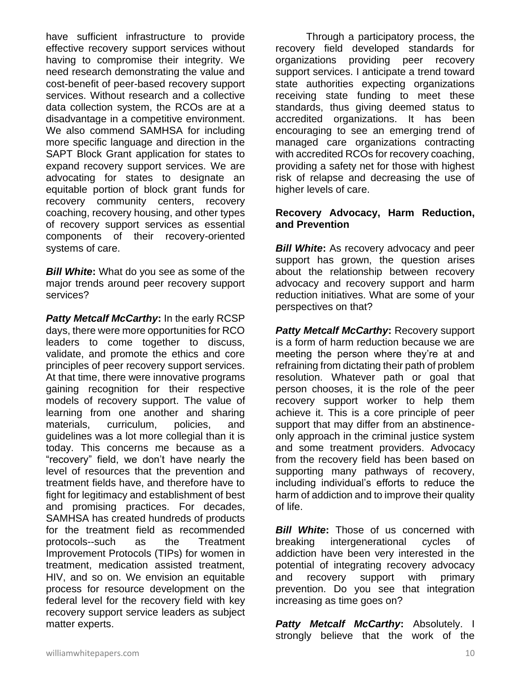have sufficient infrastructure to provide effective recovery support services without having to compromise their integrity. We need research demonstrating the value and cost-benefit of peer-based recovery support services. Without research and a collective data collection system, the RCOs are at a disadvantage in a competitive environment. We also commend SAMHSA for including more specific language and direction in the SAPT Block Grant application for states to expand recovery support services. We are advocating for states to designate an equitable portion of block grant funds for recovery community centers, recovery coaching, recovery housing, and other types of recovery support services as essential components of their recovery-oriented systems of care.

*Bill White***:** What do you see as some of the major trends around peer recovery support services?

*Patty Metcalf McCarthy***:** In the early RCSP days, there were more opportunities for RCO leaders to come together to discuss, validate, and promote the ethics and core principles of peer recovery support services. At that time, there were innovative programs gaining recognition for their respective models of recovery support. The value of learning from one another and sharing materials, curriculum, policies, and guidelines was a lot more collegial than it is today. This concerns me because as a "recovery" field, we don't have nearly the level of resources that the prevention and treatment fields have, and therefore have to fight for legitimacy and establishment of best and promising practices. For decades, SAMHSA has created hundreds of products for the treatment field as recommended protocols--such as the Treatment Improvement Protocols (TIPs) for women in treatment, medication assisted treatment, HIV, and so on. We envision an equitable process for resource development on the federal level for the recovery field with key recovery support service leaders as subject matter experts.

Through a participatory process, the recovery field developed standards for organizations providing peer recovery support services. I anticipate a trend toward state authorities expecting organizations receiving state funding to meet these standards, thus giving deemed status to accredited organizations. It has been encouraging to see an emerging trend of managed care organizations contracting with accredited RCOs for recovery coaching, providing a safety net for those with highest risk of relapse and decreasing the use of higher levels of care.

#### **Recovery Advocacy, Harm Reduction, and Prevention**

*Bill White***:** As recovery advocacy and peer support has grown, the question arises about the relationship between recovery advocacy and recovery support and harm reduction initiatives. What are some of your perspectives on that?

*Patty Metcalf McCarthy***:** Recovery support is a form of harm reduction because we are meeting the person where they're at and refraining from dictating their path of problem resolution. Whatever path or goal that person chooses, it is the role of the peer recovery support worker to help them achieve it. This is a core principle of peer support that may differ from an abstinenceonly approach in the criminal justice system and some treatment providers. Advocacy from the recovery field has been based on supporting many pathways of recovery, including individual's efforts to reduce the harm of addiction and to improve their quality of life.

*Bill White*: Those of us concerned with breaking intergenerational cycles of addiction have been very interested in the potential of integrating recovery advocacy and recovery support with primary prevention. Do you see that integration increasing as time goes on?

*Patty Metcalf McCarthy***:** Absolutely. I strongly believe that the work of the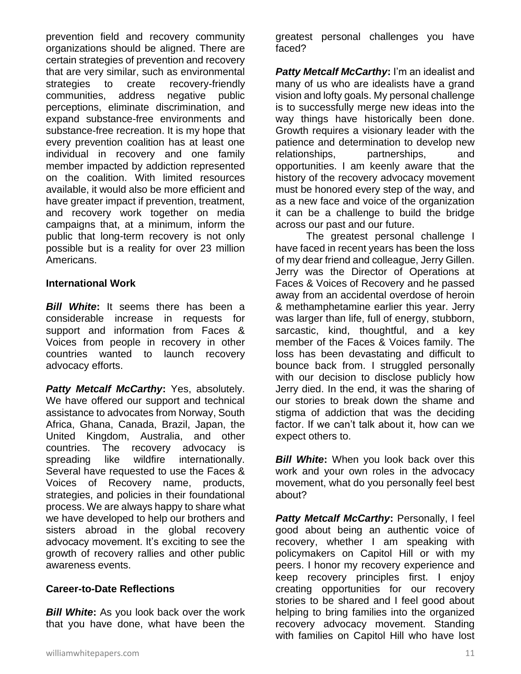prevention field and recovery community organizations should be aligned. There are certain strategies of prevention and recovery that are very similar, such as environmental strategies to create recovery-friendly communities, address negative public perceptions, eliminate discrimination, and expand substance-free environments and substance-free recreation. It is my hope that every prevention coalition has at least one individual in recovery and one family member impacted by addiction represented on the coalition. With limited resources available, it would also be more efficient and have greater impact if prevention, treatment, and recovery work together on media campaigns that, at a minimum, inform the public that long-term recovery is not only possible but is a reality for over 23 million Americans.

#### **International Work**

*Bill White***:** It seems there has been a considerable increase in requests for support and information from Faces & Voices from people in recovery in other countries wanted to launch recovery advocacy efforts.

*Patty Metcalf McCarthy***:** Yes, absolutely. We have offered our support and technical assistance to advocates from Norway, South Africa, Ghana, Canada, Brazil, Japan, the United Kingdom, Australia, and other countries. The recovery advocacy is spreading like wildfire internationally. Several have requested to use the Faces & Voices of Recovery name, products, strategies, and policies in their foundational process. We are always happy to share what we have developed to help our brothers and sisters abroad in the global recovery advocacy movement. It's exciting to see the growth of recovery rallies and other public awareness events.

#### **Career-to-Date Reflections**

*Bill White***:** As you look back over the work that you have done, what have been the

greatest personal challenges you have faced?

*Patty Metcalf McCarthy***:** I'm an idealist and many of us who are idealists have a grand vision and lofty goals. My personal challenge is to successfully merge new ideas into the way things have historically been done. Growth requires a visionary leader with the patience and determination to develop new relationships, partnerships, and opportunities. I am keenly aware that the history of the recovery advocacy movement must be honored every step of the way, and as a new face and voice of the organization it can be a challenge to build the bridge across our past and our future.

The greatest personal challenge I have faced in recent years has been the loss of my dear friend and colleague, Jerry Gillen. Jerry was the Director of Operations at Faces & Voices of Recovery and he passed away from an accidental overdose of heroin & methamphetamine earlier this year. Jerry was larger than life, full of energy, stubborn, sarcastic, kind, thoughtful, and a key member of the Faces & Voices family. The loss has been devastating and difficult to bounce back from. I struggled personally with our decision to disclose publicly how Jerry died. In the end, it was the sharing of our stories to break down the shame and stigma of addiction that was the deciding factor. If we can't talk about it, how can we expect others to.

*Bill White:* When you look back over this work and your own roles in the advocacy movement, what do you personally feel best about?

*Patty Metcalf McCarthy***:** Personally, I feel good about being an authentic voice of recovery, whether I am speaking with policymakers on Capitol Hill or with my peers. I honor my recovery experience and keep recovery principles first. I enjoy creating opportunities for our recovery stories to be shared and I feel good about helping to bring families into the organized recovery advocacy movement. Standing with families on Capitol Hill who have lost